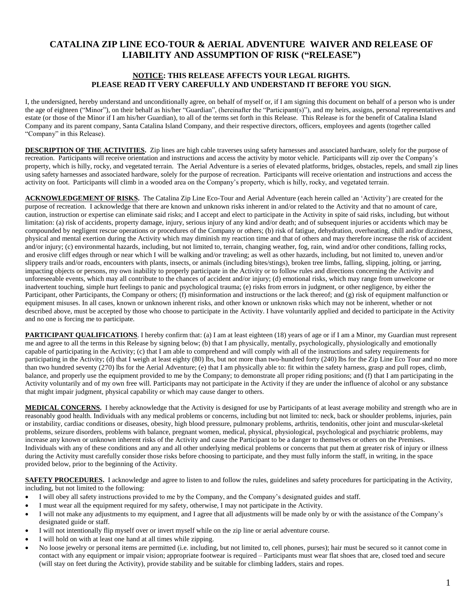## **CATALINA ZIP LINE ECO-TOUR & AERIAL ADVENTURE WAIVER AND RELEASE OF LIABILITY AND ASSUMPTION OF RISK ("RELEASE")**

## **NOTICE: THIS RELEASE AFFECTS YOUR LEGAL RIGHTS. PLEASE READ IT VERY CAREFULLY AND UNDERSTAND IT BEFORE YOU SIGN.**

I, the undersigned, hereby understand and unconditionally agree, on behalf of myself or, if I am signing this document on behalf of a person who is under the age of eighteen ("Minor"), on their behalf as his/her "Guardian", (hereinafter the "Participant(s)"), and my heirs, assigns, personal representatives and estate (or those of the Minor if I am his/her Guardian), to all of the terms set forth in this Release. This Release is for the benefit of Catalina Island Company and its parent company, Santa Catalina Island Company, and their respective directors, officers, employees and agents (together called "Company" in this Release).

**DESCRIPTION OF THE ACTIVITIES.** Zip lines are high cable traverses using safety harnesses and associated hardware, solely for the purpose of recreation. Participants will receive orientation and instructions and access the activity by motor vehicle. Participants will zip over the Company's property, which is hilly, rocky, and vegetated terrain. The Aerial Adventure is a series of elevated platforms, bridges, obstacles, repels, and small zip lines using safety harnesses and associated hardware, solely for the purpose of recreation. Participants will receive orientation and instructions and access the activity on foot. Participants will climb in a wooded area on the Company's property, which is hilly, rocky, and vegetated terrain.

**ACKNOWLEDGEMENT OF RISKS.** The Catalina Zip Line Eco-Tour and Aerial Adventure (each herein called an 'Activity') are created for the purpose of recreation. I acknowledge that there are known and unknown risks inherent in and/or related to the Activity and that no amount of care, caution, instruction or expertise can eliminate said risks; and I accept and elect to participate in the Activity in spite of said risks, including, but without limitation: (a) risk of accidents, property damage, injury, serious injury of any kind and/or death; and of subsequent injuries or accidents which may be compounded by negligent rescue operations or procedures of the Company or others; (b) risk of fatigue, dehydration, overheating, chill and/or dizziness, physical and mental exertion during the Activity which may diminish my reaction time and that of others and may therefore increase the risk of accident and/or injury; (c) environmental hazards, including, but not limited to, terrain, changing weather, fog, rain, wind and/or other conditions, falling rocks, and erosive cliff edges through or near which I will be walking and/or traveling; as well as other hazards, including, but not limited to, uneven and/or slippery trails and/or roads, encounters with plants, insects, or animals (including bites/stings), broken tree limbs, falling, slipping, jolting, or jarring, impacting objects or persons, my own inability to properly participate in the Activity or to follow rules and directions concerning the Activity and unforeseeable events, which may all contribute to the chances of accident and/or injury; (d) emotional risks, which may range from unwelcome or inadvertent touching, simple hurt feelings to panic and psychological trauma; (e) risks from errors in judgment, or other negligence, by either the Participant, other Participants, the Company or others; (f) misinformation and instructions or the lack thereof; and (g) risk of equipment malfunction or equipment misuses. In all cases, known or unknown inherent risks, and other known or unknown risks which may not be inherent, whether or not described above, must be accepted by those who choose to participate in the Activity. I have voluntarily applied and decided to participate in the Activity and no one is forcing me to participate.

**PARTICIPANT QUALIFICATIONS**. I hereby confirm that: (a) I am at least eighteen (18) years of age or if I am a Minor, my Guardian must represent me and agree to all the terms in this Release by signing below; (b) that I am physically, mentally, psychologically, physiologically and emotionally capable of participating in the Activity; (c) that I am able to comprehend and will comply with all of the instructions and safety requirements for participating in the Activity; (d) that I weigh at least eighty (80) lbs, but not more than two-hundred forty (240) lbs for the Zip Line Eco Tour and no more than two hundred seventy (270) lbs for the Aerial Adventure; (e) that I am physically able to: fit within the safety harness, grasp and pull ropes, climb, balance, and properly use the equipment provided to me by the Company; to demonstrate all proper riding positions; and (f) that I am participating in the Activity voluntarily and of my own free will. Participants may not participate in the Activity if they are under the influence of alcohol or any substance that might impair judgment, physical capability or which may cause danger to others.

**MEDICAL CONCERNS.** I hereby acknowledge that the Activity is designed for use by Participants of at least average mobility and strength who are in reasonably good health. Individuals with any medical problems or concerns, including but not limited to: neck, back or shoulder problems, injuries, pain or instability, cardiac conditions or diseases, obesity, high blood pressure, pulmonary problems, arthritis, tendonitis, other joint and muscular-skeletal problems, seizure disorders, problems with balance, pregnant women, medical, physical, physiological, psychological and psychiatric problems, may increase any known or unknown inherent risks of the Activity and cause the Participant to be a danger to themselves or others on the Premises. Individuals with any of these conditions and any and all other underlying medical problems or concerns that put them at greater risk of injury or illness during the Activity must carefully consider those risks before choosing to participate, and they must fully inform the staff, in writing, in the space provided below, prior to the beginning of the Activity.

**SAFETY PROCEDURES.** I acknowledge and agree to listen to and follow the rules, guidelines and safety procedures for participating in the Activity, including, but not limited to the following:

- I will obey all safety instructions provided to me by the Company, and the Company's designated guides and staff.
- I must wear all the equipment required for my safety, otherwise, I may not participate in the Activity.
- I will not make any adjustments to my equipment, and I agree that all adjustments will be made only by or with the assistance of the Company's designated guide or staff.
- I will not intentionally flip myself over or invert myself while on the zip line or aerial adventure course.
- I will hold on with at least one hand at all times while zipping.
- No loose jewelry or personal items are permitted (i.e. including, but not limited to, cell phones, purses); hair must be secured so it cannot come in contact with any equipment or impair vision; appropriate footwear is required – Participants must wear flat shoes that are, closed toed and secure (will stay on feet during the Activity), provide stability and be suitable for climbing ladders, stairs and ropes.